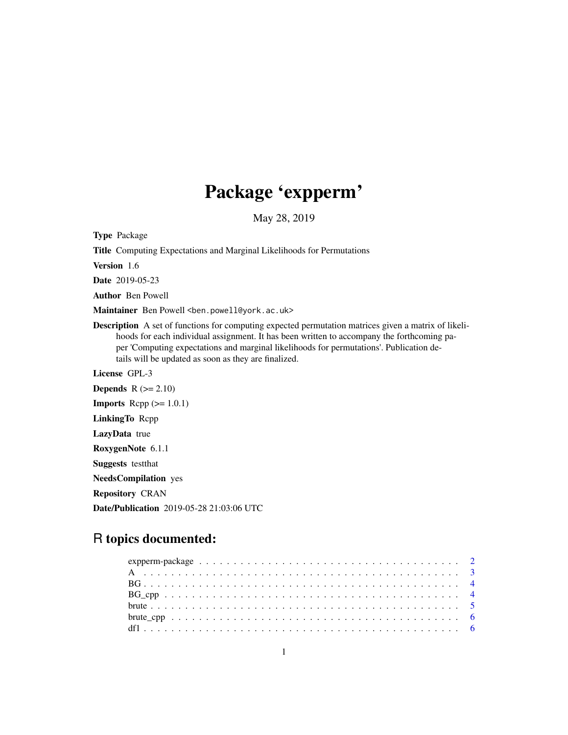## Package 'expperm'

May 28, 2019

Type Package

Title Computing Expectations and Marginal Likelihoods for Permutations

Version 1.6

Date 2019-05-23

Author Ben Powell

Maintainer Ben Powell <br/>ben.powell@york.ac.uk>

Description A set of functions for computing expected permutation matrices given a matrix of likelihoods for each individual assignment. It has been written to accompany the forthcoming paper 'Computing expectations and marginal likelihoods for permutations'. Publication details will be updated as soon as they are finalized.

License GPL-3

Depends  $R$  ( $>= 2.10$ ) **Imports** Rcpp  $(>= 1.0.1)$ LinkingTo Rcpp LazyData true RoxygenNote 6.1.1 Suggests testthat NeedsCompilation yes Repository CRAN Date/Publication 2019-05-28 21:03:06 UTC

## R topics documented: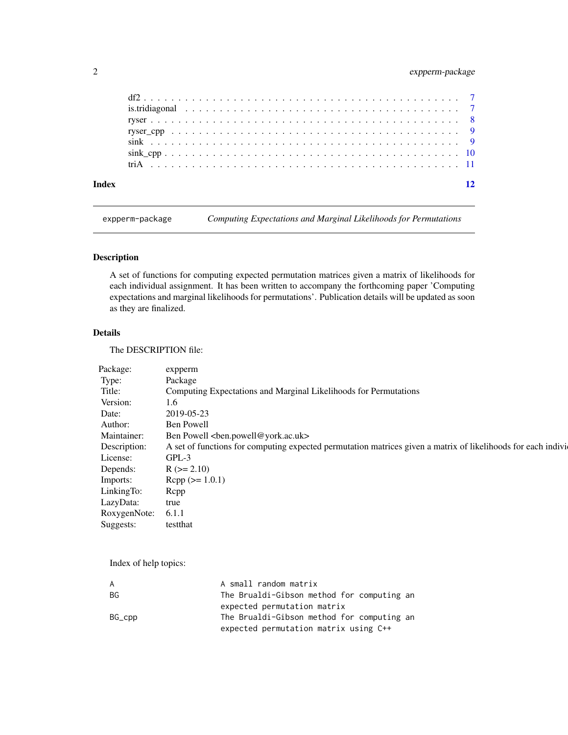### <span id="page-1-0"></span>2 expperm-package

| Index |  |  |  |  |  |  |  |  |  |  |  |  |  |  | 12 |
|-------|--|--|--|--|--|--|--|--|--|--|--|--|--|--|----|
|       |  |  |  |  |  |  |  |  |  |  |  |  |  |  |    |
|       |  |  |  |  |  |  |  |  |  |  |  |  |  |  |    |
|       |  |  |  |  |  |  |  |  |  |  |  |  |  |  |    |
|       |  |  |  |  |  |  |  |  |  |  |  |  |  |  |    |
|       |  |  |  |  |  |  |  |  |  |  |  |  |  |  |    |
|       |  |  |  |  |  |  |  |  |  |  |  |  |  |  |    |
|       |  |  |  |  |  |  |  |  |  |  |  |  |  |  |    |

expperm-package *Computing Expectations and Marginal Likelihoods for Permutations*

#### Description

A set of functions for computing expected permutation matrices given a matrix of likelihoods for each individual assignment. It has been written to accompany the forthcoming paper 'Computing expectations and marginal likelihoods for permutations'. Publication details will be updated as soon as they are finalized.

#### Details

The DESCRIPTION file:

| Package:           | expperm                                                                                                       |
|--------------------|---------------------------------------------------------------------------------------------------------------|
|                    |                                                                                                               |
| Type:              | Package                                                                                                       |
| Title:             | Computing Expectations and Marginal Likelihoods for Permutations                                              |
| Version:           | 1.6                                                                                                           |
| Date:              | 2019-05-23                                                                                                    |
| Author:            | Ben Powell                                                                                                    |
| Maintainer:        | Ben Powell<br><br>chen.powell@york.ac.uk>                                                                     |
| Description:       | A set of functions for computing expected permutation matrices given a matrix of likelihoods for each indivi- |
| License:           | GPL-3                                                                                                         |
| Depends:           | $R (= 2.10)$                                                                                                  |
| Imports:           | $\text{Rcpp} (> = 1.0.1)$                                                                                     |
| LinkingTo:         | Rcpp                                                                                                          |
| LazyData:          | true                                                                                                          |
| RoxygenNote: 6.1.1 |                                                                                                               |
| Suggests:          | testthat                                                                                                      |
|                    |                                                                                                               |

Index of help topics:

| A      | A small random matrix                      |
|--------|--------------------------------------------|
| BG.    | The Brualdi-Gibson method for computing an |
|        | expected permutation matrix                |
| BG_cpp | The Brualdi-Gibson method for computing an |
|        | expected permutation matrix using C++      |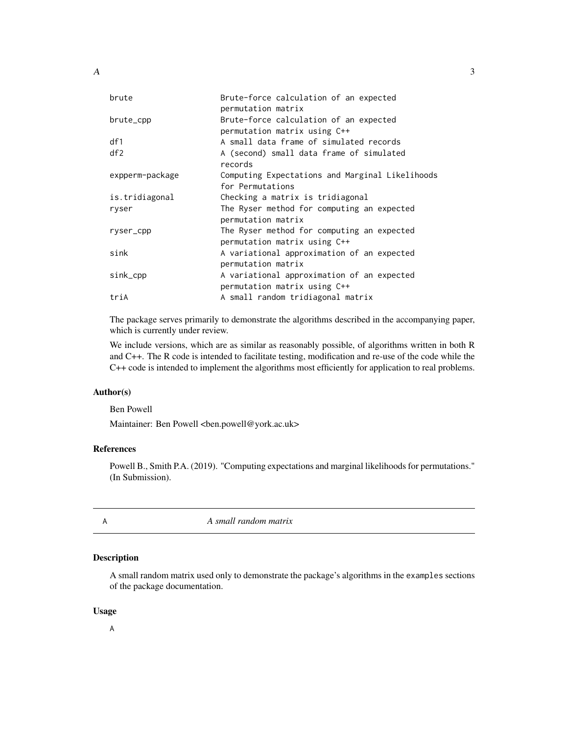<span id="page-2-0"></span>

| brute           | Brute-force calculation of an expected<br>permutation matrix               |
|-----------------|----------------------------------------------------------------------------|
| brute_cpp       | Brute-force calculation of an expected<br>permutation matrix using C++     |
| df1             | A small data frame of simulated records                                    |
| df2             | A (second) small data frame of simulated<br>records                        |
| expperm-package | Computing Expectations and Marginal Likelihoods<br>for Permutations        |
| is.tridiagonal  | Checking a matrix is tridiagonal                                           |
| ryser           | The Ryser method for computing an expected<br>permutation matrix           |
| ryser_cpp       | The Ryser method for computing an expected<br>permutation matrix using C++ |
| sink            | A variational approximation of an expected<br>permutation matrix           |
| sink_cpp        | A variational approximation of an expected<br>permutation matrix using C++ |
| triA            | A small random tridiagonal matrix                                          |
|                 |                                                                            |

The package serves primarily to demonstrate the algorithms described in the accompanying paper, which is currently under review.

We include versions, which are as similar as reasonably possible, of algorithms written in both R and C++. The R code is intended to facilitate testing, modification and re-use of the code while the C++ code is intended to implement the algorithms most efficiently for application to real problems.

#### Author(s)

Ben Powell

Maintainer: Ben Powell <br/> <br/> <br/> <br/> <br/> <br/> <br/>en.powell@york.ac.uk>

#### References

Powell B., Smith P.A. (2019). "Computing expectations and marginal likelihoods for permutations." (In Submission).

A *A small random matrix*

#### Description

A small random matrix used only to demonstrate the package's algorithms in the examples sections of the package documentation.

#### Usage

A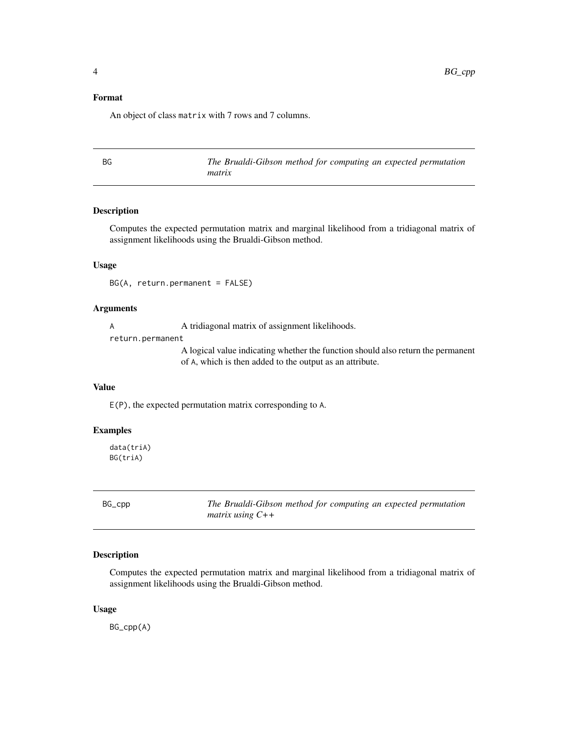#### <span id="page-3-0"></span>Format

An object of class matrix with 7 rows and 7 columns.

BG *The Brualdi-Gibson method for computing an expected permutation matrix*

#### Description

Computes the expected permutation matrix and marginal likelihood from a tridiagonal matrix of assignment likelihoods using the Brualdi-Gibson method.

#### Usage

BG(A, return.permanent = FALSE)

#### **Arguments**

A  $\alpha$  A tridiagonal matrix of assignment likelihoods.

return.permanent

A logical value indicating whether the function should also return the permanent of A, which is then added to the output as an attribute.

#### Value

E(P), the expected permutation matrix corresponding to A.

#### Examples

data(triA) BG(triA)

|--|

BG\_cpp *The Brualdi-Gibson method for computing an expected permutation matrix using C++*

#### Description

Computes the expected permutation matrix and marginal likelihood from a tridiagonal matrix of assignment likelihoods using the Brualdi-Gibson method.

#### Usage

BG\_cpp(A)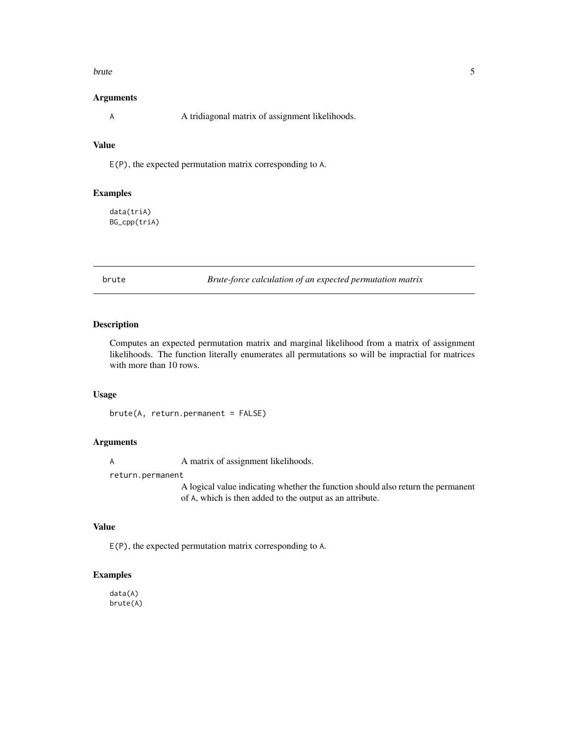#### <span id="page-4-0"></span>brute 5

#### Arguments

A  $\alpha$  A tridiagonal matrix of assignment likelihoods.

#### Value

E(P), the expected permutation matrix corresponding to A.

#### Examples

data(triA) BG\_cpp(triA)

brute *Brute-force calculation of an expected permutation matrix*

#### Description

Computes an expected permutation matrix and marginal likelihood from a matrix of assignment likelihoods. The function literally enumerates all permutations so will be impractial for matrices with more than 10 rows.

#### Usage

brute(A, return.permanent = FALSE)

#### Arguments

A matrix of assignment likelihoods.

return.permanent

A logical value indicating whether the function should also return the permanent of A, which is then added to the output as an attribute.

#### Value

E(P), the expected permutation matrix corresponding to A.

#### Examples

data(A) brute(A)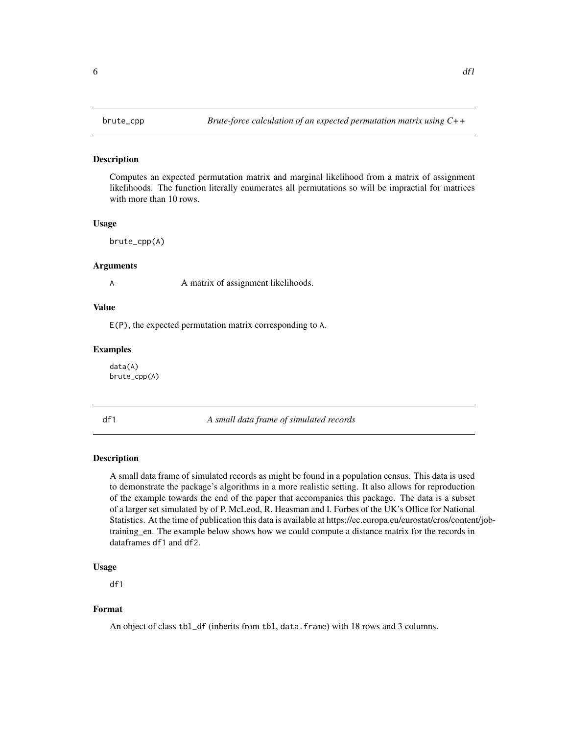#### <span id="page-5-0"></span>Description

Computes an expected permutation matrix and marginal likelihood from a matrix of assignment likelihoods. The function literally enumerates all permutations so will be impractial for matrices with more than 10 rows.

#### Usage

brute\_cpp(A)

#### Arguments

A matrix of assignment likelihoods.

#### Value

E(P), the expected permutation matrix corresponding to A.

#### Examples

data(A) brute\_cpp(A)

df1 *A small data frame of simulated records*

#### Description

A small data frame of simulated records as might be found in a population census. This data is used to demonstrate the package's algorithms in a more realistic setting. It also allows for reproduction of the example towards the end of the paper that accompanies this package. The data is a subset of a larger set simulated by of P. McLeod, R. Heasman and I. Forbes of the UK's Office for National Statistics. At the time of publication this data is available at https://ec.europa.eu/eurostat/cros/content/jobtraining\_en. The example below shows how we could compute a distance matrix for the records in dataframes df1 and df2.

#### Usage

df1

#### Format

An object of class tbl\_df (inherits from tbl, data.frame) with 18 rows and 3 columns.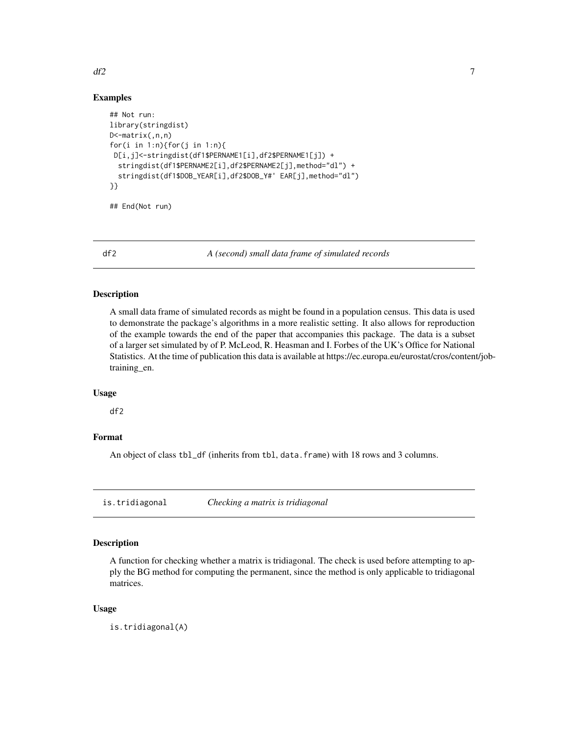#### Examples

```
## Not run:
library(stringdist)
D<-matrix(,n,n)
for(i in 1:n){for(j in 1:n){
 D[i,j]<-stringdist(df1$PERNAME1[i],df2$PERNAME1[j]) +
  stringdist(df1$PERNAME2[i],df2$PERNAME2[j],method="dl") +
  stringdist(df1$DOB_YEAR[i],df2$DOB_Y#' EAR[j],method="dl")
}}
```
## End(Not run)

df2 *A (second) small data frame of simulated records*

#### Description

A small data frame of simulated records as might be found in a population census. This data is used to demonstrate the package's algorithms in a more realistic setting. It also allows for reproduction of the example towards the end of the paper that accompanies this package. The data is a subset of a larger set simulated by of P. McLeod, R. Heasman and I. Forbes of the UK's Office for National Statistics. At the time of publication this data is available at https://ec.europa.eu/eurostat/cros/content/jobtraining\_en.

#### Usage

df2

#### Format

An object of class tbl\_df (inherits from tbl, data.frame) with 18 rows and 3 columns.

is.tridiagonal *Checking a matrix is tridiagonal*

#### Description

A function for checking whether a matrix is tridiagonal. The check is used before attempting to apply the BG method for computing the permanent, since the method is only applicable to tridiagonal matrices.

#### Usage

is.tridiagonal(A)

<span id="page-6-0"></span> $df2$  7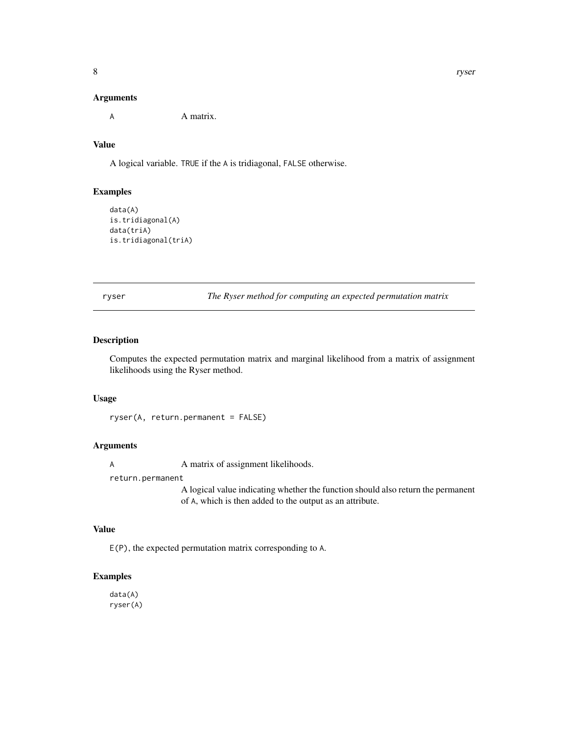<span id="page-7-0"></span>A **A** matrix.

#### Value

A logical variable. TRUE if the A is tridiagonal, FALSE otherwise.

#### Examples

```
data(A)
is.tridiagonal(A)
data(triA)
is.tridiagonal(triA)
```
ryser *The Ryser method for computing an expected permutation matrix*

#### Description

Computes the expected permutation matrix and marginal likelihood from a matrix of assignment likelihoods using the Ryser method.

#### Usage

ryser(A, return.permanent = FALSE)

#### Arguments

A matrix of assignment likelihoods.

return.permanent

A logical value indicating whether the function should also return the permanent of A, which is then added to the output as an attribute.

#### Value

E(P), the expected permutation matrix corresponding to A.

#### Examples

data(A) ryser(A)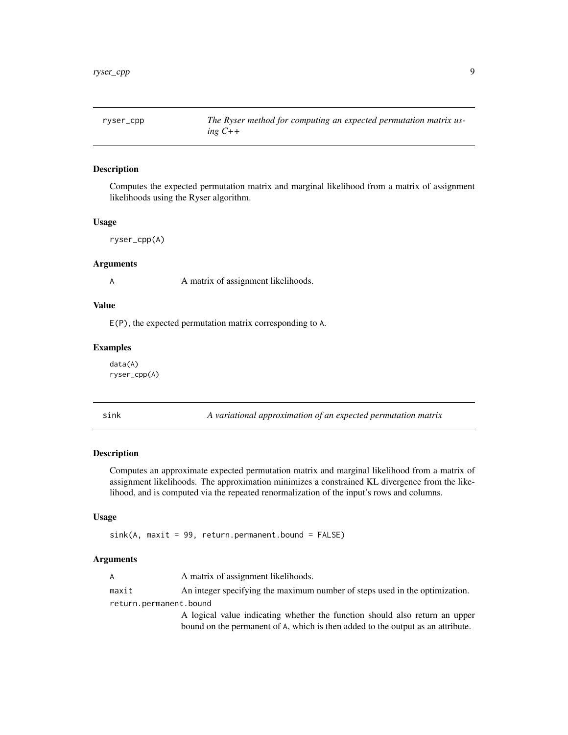<span id="page-8-0"></span>

#### Description

Computes the expected permutation matrix and marginal likelihood from a matrix of assignment likelihoods using the Ryser algorithm.

#### Usage

ryser\_cpp(A)

#### Arguments

A matrix of assignment likelihoods.

#### Value

E(P), the expected permutation matrix corresponding to A.

#### Examples

data(A) ryser\_cpp(A)

sink *A variational approximation of an expected permutation matrix*

#### Description

Computes an approximate expected permutation matrix and marginal likelihood from a matrix of assignment likelihoods. The approximation minimizes a constrained KL divergence from the likelihood, and is computed via the repeated renormalization of the input's rows and columns.

#### Usage

 $sink(A, maxit = 99, return.permanent.bound = FALSE)$ 

#### Arguments

|                        | A matrix of assignment likelihoods.                                         |
|------------------------|-----------------------------------------------------------------------------|
| maxit                  | An integer specifying the maximum number of steps used in the optimization. |
| return.permanent.bound |                                                                             |
|                        | A logical value indicating whether the function should also return on unne  |

A logical value indicating whether the function should also return an upper bound on the permanent of A, which is then added to the output as an attribute.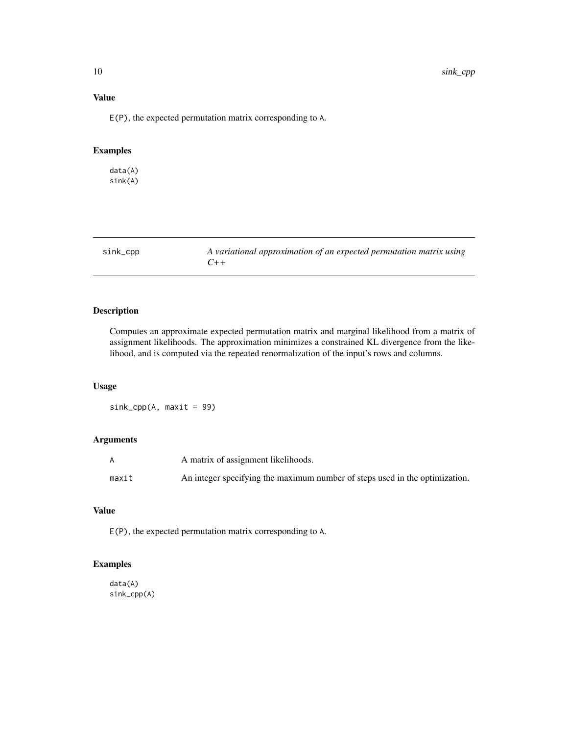#### <span id="page-9-0"></span>Value

E(P), the expected permutation matrix corresponding to A.

#### Examples

data(A) sink(A)

| sink_cpp | A variational approximation of an expected permutation matrix using |
|----------|---------------------------------------------------------------------|
|          | $(1 + +$                                                            |

#### Description

Computes an approximate expected permutation matrix and marginal likelihood from a matrix of assignment likelihoods. The approximation minimizes a constrained KL divergence from the likelihood, and is computed via the repeated renormalization of the input's rows and columns.

#### Usage

sink\_cpp(A, maxit = 99)

#### Arguments

|       | A matrix of assignment likelihoods.                                         |
|-------|-----------------------------------------------------------------------------|
| maxit | An integer specifying the maximum number of steps used in the optimization. |

### Value

E(P), the expected permutation matrix corresponding to A.

#### Examples

data(A) sink\_cpp(A)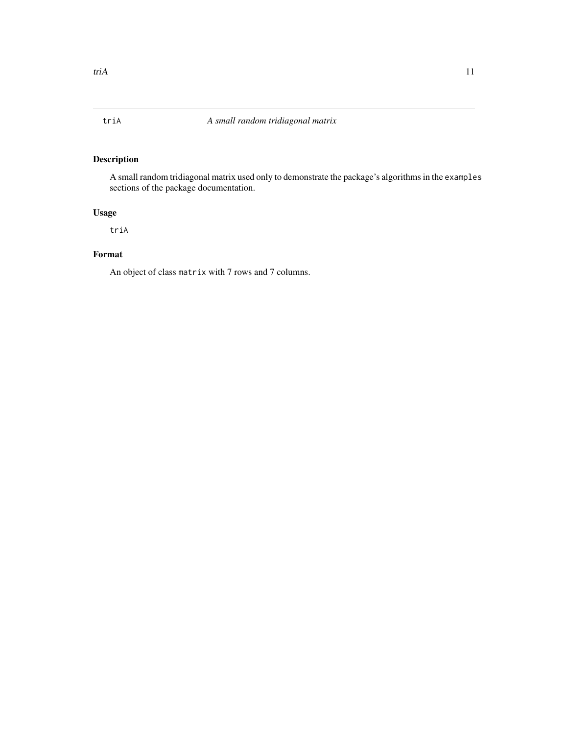#### <span id="page-10-0"></span>Description

A small random tridiagonal matrix used only to demonstrate the package's algorithms in the examples sections of the package documentation.

### Usage

triA

#### Format

An object of class matrix with 7 rows and 7 columns.